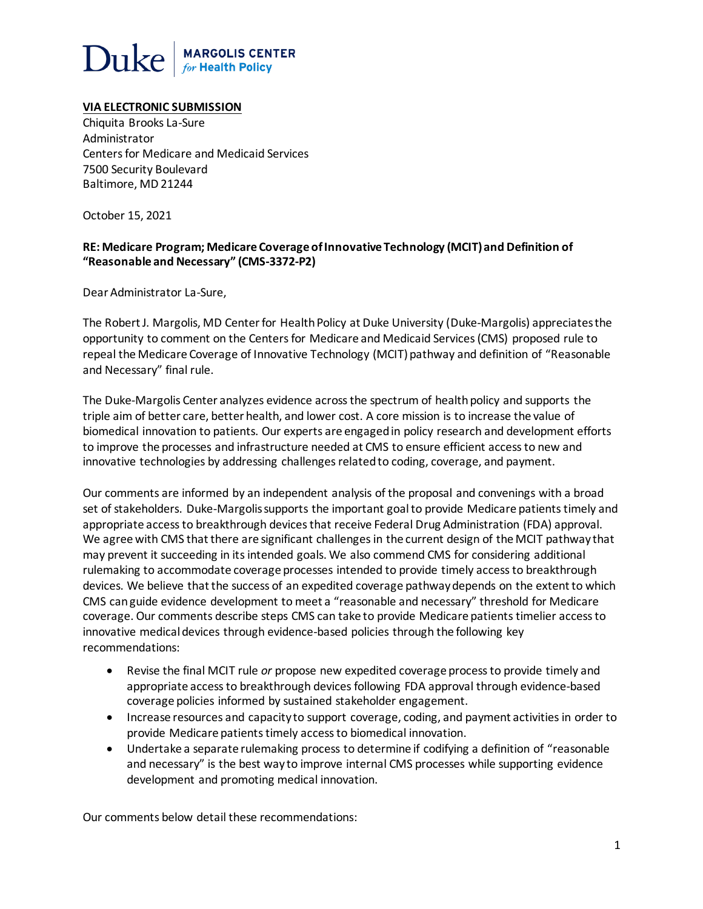# $\operatorname{Duke}|_{\scriptscriptstyle\it for\,Health\,Polity}$

## **VIA ELECTRONIC SUBMISSION**

Chiquita Brooks La-Sure Administrator Centers for Medicare and Medicaid Services 7500 Security Boulevard Baltimore, MD 21244

October 15, 2021

## **RE: Medicare Program; Medicare Coverage of Innovative Technology (MCIT) and Definition of "Reasonable and Necessary" (CMS-3372-P2)**

Dear Administrator La-Sure,

The Robert J. Margolis, MD Center for Health Policy at Duke University (Duke-Margolis) appreciates the opportunity to comment on the Centers for Medicare and Medicaid Services (CMS) proposed rule to repeal the Medicare Coverage of Innovative Technology (MCIT) pathway and definition of "Reasonable and Necessary" final rule.

The Duke-Margolis Center analyzes evidence across the spectrum of health policy and supports the triple aim of better care, better health, and lower cost. A core mission is to increase the value of biomedical innovation to patients. Our experts are engaged in policy research and development efforts to improve the processes and infrastructure needed at CMS to ensure efficient access to new and innovative technologies by addressing challenges related to coding, coverage, and payment.

Our comments are informed by an independent analysis of the proposal and convenings with a broad set of stakeholders. Duke-Margolissupports the important goal to provide Medicare patients timely and appropriate access to breakthrough devices that receive Federal Drug Administration (FDA) approval. We agree with CMS that there are significant challenges in the current design of the MCIT pathway that may prevent it succeeding in its intended goals. We also commend CMS for considering additional rulemaking to accommodate coverage processes intended to provide timely access to breakthrough devices. We believe that the success of an expedited coverage pathway depends on the extent to which CMS can guide evidence development to meet a "reasonable and necessary" threshold for Medicare coverage. Our comments describe steps CMS can take to provide Medicare patients timelier access to innovative medical devices through evidence-based policies through the following key recommendations:

- Revise the final MCIT rule *or* propose new expedited coverage process to provide timely and appropriate access to breakthrough devices following FDA approval through evidence-based coverage policies informed by sustained stakeholder engagement.
- Increase resources and capacity to support coverage, coding, and payment activities in order to provide Medicare patients timely access to biomedical innovation.
- Undertake a separate rulemaking process to determine if codifying a definition of "reasonable and necessary" is the best way to improve internal CMS processes while supporting evidence development and promoting medical innovation.

Our comments below detail these recommendations: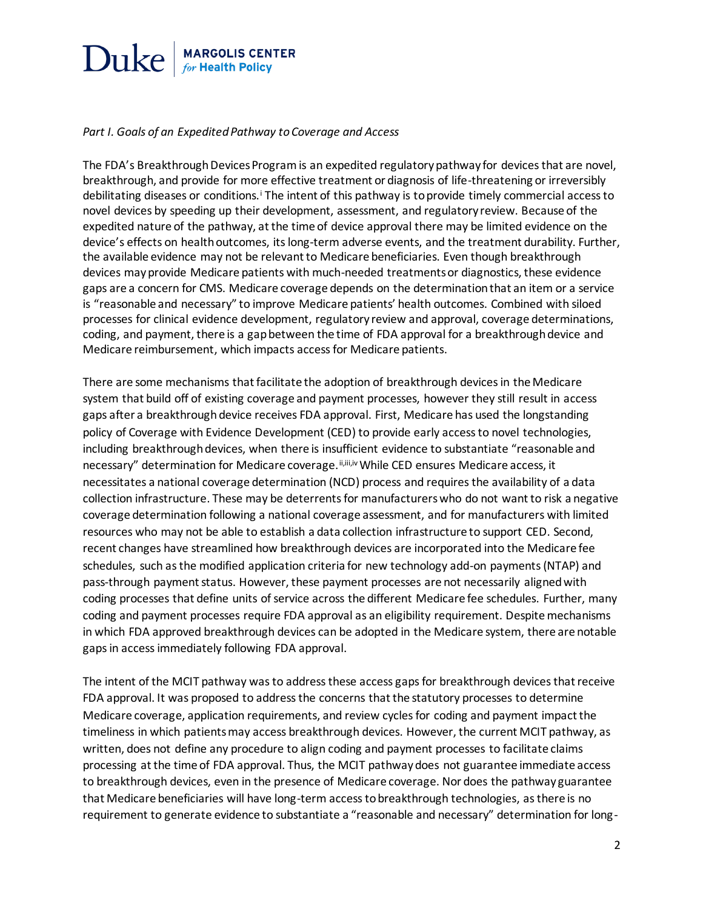

#### *Part I. Goals of an Expedited Pathway to Coverage and Access*

The FDA's Breakthrough Devices Program is an expedited regulatory pathway for devices that are novel, breakthrough, and provide for more effective treatment or diagnosis of life-threatening or irreversibly debilitating diseases or conditions.<sup>i</sup> The intent of this pathway is to provide timely commercial access to novel devices by speeding up their development, assessment, and regulatory review. Because of the expedited nature of the pathway, at the time of device approval there may be limited evidence on the device's effects on health outcomes, itslong-term adverse events, and the treatment durability. Further, the available evidence may not be relevant to Medicare beneficiaries. Even though breakthrough devices may provide Medicare patients with much-needed treatments or diagnostics, these evidence gaps are a concern for CMS. Medicare coverage depends on the determination that an item or a service is "reasonable and necessary" to improve Medicare patients' health outcomes. Combined with siloed processes for clinical evidence development, regulatory review and approval, coverage determinations, coding, and payment, there is a gap between the time of FDA approval for a breakthrough device and Medicare reimbursement, which impacts accessfor Medicare patients.

There are some mechanisms that facilitate the adoption of breakthrough devices in the Medicare system that build off of existing coverage and payment processes, however they still result in access gaps after a breakthrough device receives FDA approval. First, Medicare has used the longstanding policy of Coverage with Evidence Development (CED) to provide early access to novel technologies, including breakthrough devices, when there is insufficient evidence to substantiate "reasonable and necessary" determination for Medicare coverage. ii,iii,iv While CED ensures Medicare access, it necessitates a national coverage determination (NCD) process and requiresthe availability of a data collection infrastructure. These may be deterrents for manufacturers who do not want to risk a negative coverage determination following a national coverage assessment, and for manufacturers with limited resources who may not be able to establish a data collection infrastructure to support CED. Second, recent changes have streamlined how breakthrough devices are incorporated into the Medicare fee schedules, such as the modified application criteria for new technology add-on payments (NTAP) and pass-through payment status. However, these payment processes are not necessarily aligned with coding processes that define units of service across the different Medicare fee schedules. Further, many coding and payment processes require FDA approval as an eligibility requirement. Despite mechanisms in which FDA approved breakthrough devices can be adopted in the Medicare system, there are notable gaps in access immediately following FDA approval.

The intent of the MCIT pathway was to address these access gaps for breakthrough devices that receive FDA approval. It was proposed to address the concerns that the statutory processes to determine Medicare coverage, application requirements, and review cycles for coding and payment impact the timeliness in which patients may access breakthrough devices. However, the current MCIT pathway, as written, does not define any procedure to align coding and payment processes to facilitate claims processing at the time of FDA approval. Thus, the MCIT pathway does not guarantee immediate access to breakthrough devices, even in the presence of Medicare coverage. Nor does the pathway guarantee that Medicare beneficiaries will have long-term access to breakthrough technologies, asthere is no requirement to generate evidence to substantiate a "reasonable and necessary" determination for long-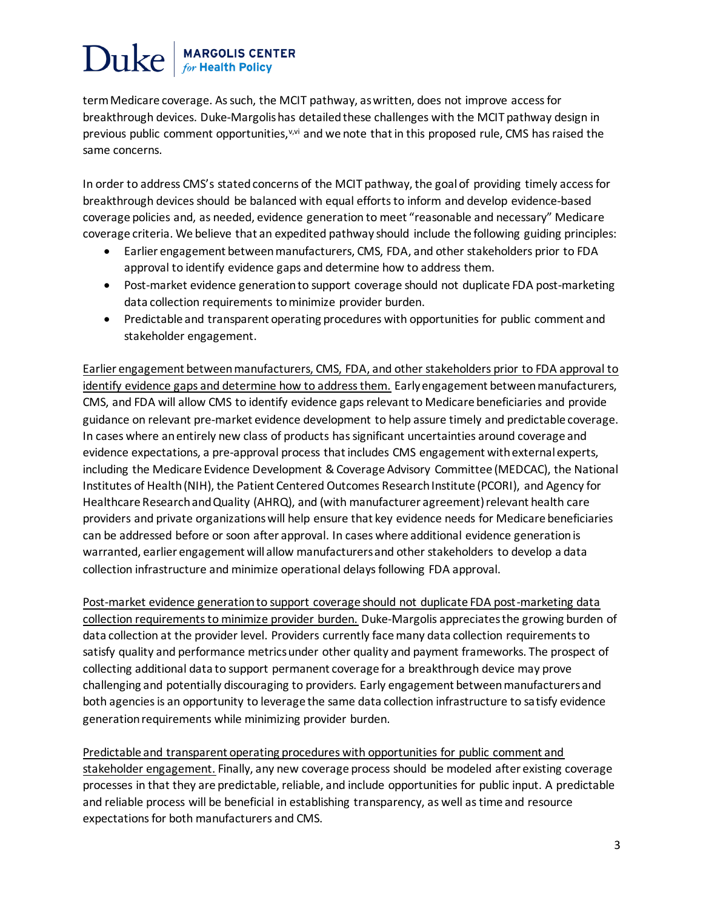term Medicare coverage. As such, the MCIT pathway, as written, does not improve access for breakthrough devices. Duke-Margolis has detailed these challenges with the MCIT pathway design in previous public comment opportunities,<sup>v,vi</sup> and we note that in this proposed rule, CMS has raised the same concerns.

In order to address CMS's stated concerns of the MCIT pathway, the goal of providing timely access for breakthrough devices should be balanced with equal efforts to inform and develop evidence-based coverage policies and, as needed, evidence generation to meet "reasonable and necessary" Medicare coverage criteria. We believe that an expedited pathway should include the following guiding principles:

- Earlier engagement between manufacturers, CMS, FDA, and other stakeholders prior to FDA approval to identify evidence gaps and determine how to address them.
- Post-market evidence generation to support coverage should not duplicate FDA post-marketing data collection requirements to minimize provider burden.
- Predictable and transparent operating procedures with opportunities for public comment and stakeholder engagement.

Earlier engagement between manufacturers, CMS, FDA, and other stakeholders prior to FDA approval to identify evidence gaps and determine how to address them. Early engagement between manufacturers, CMS, and FDA will allow CMS to identify evidence gaps relevant to Medicare beneficiaries and provide guidance on relevant pre-market evidence development to help assure timely and predictable coverage. In cases where an entirely new class of products has significant uncertainties around coverage and evidence expectations, a pre-approval process that includes CMS engagement with external experts, including the Medicare Evidence Development & Coverage Advisory Committee (MEDCAC), the National Institutes of Health (NIH), the Patient Centered Outcomes Research Institute (PCORI), and Agency for Healthcare Research and Quality (AHRQ), and (with manufacturer agreement) relevant health care providers and private organizations will help ensure that key evidence needs for Medicare beneficiaries can be addressed before or soon after approval. In cases where additional evidence generation is warranted, earlier engagement will allow manufacturers and other stakeholders to develop a data collection infrastructure and minimize operational delays following FDA approval.

Post-market evidence generation to support coverage should not duplicate FDA post-marketing data collection requirements to minimize provider burden. Duke-Margolis appreciatesthe growing burden of data collection at the provider level. Providers currently face many data collection requirements to satisfy quality and performance metrics under other quality and payment frameworks. The prospect of collecting additional data to support permanent coverage for a breakthrough device may prove challenging and potentially discouraging to providers. Early engagement between manufacturers and both agencies is an opportunity to leverage the same data collection infrastructure to satisfy evidence generation requirements while minimizing provider burden.

Predictable and transparent operating procedures with opportunities for public comment and stakeholder engagement. Finally, any new coverage process should be modeled after existing coverage processes in that they are predictable, reliable, and include opportunities for public input. A predictable and reliable process will be beneficial in establishing transparency, as well as time and resource expectations for both manufacturers and CMS.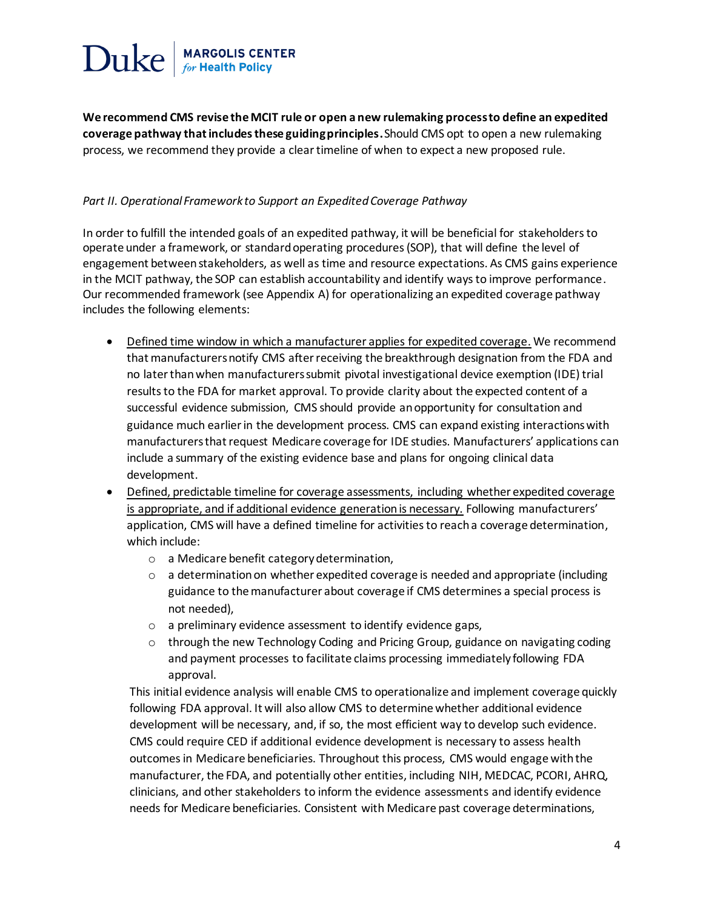

**We recommend CMS revise the MCIT rule or open a new rulemaking process to define an expedited coverage pathway that includes these guiding principles.** Should CMS opt to open a new rulemaking process, we recommend they provide a clear timeline of when to expect a new proposed rule.

#### *Part II. Operational Framework to Support an Expedited Coverage Pathway*

In order to fulfill the intended goals of an expedited pathway, it will be beneficial for stakeholders to operate under a framework, or standard operating procedures (SOP), that will define the level of engagement between stakeholders, as well as time and resource expectations. As CMS gains experience in the MCIT pathway, the SOP can establish accountability and identify ways to improve performance. Our recommended framework (see Appendix A) for operationalizing an expedited coverage pathway includes the following elements:

- Defined time window in which a manufacturer applies for expedited coverage. We recommend that manufacturers notify CMS after receiving the breakthrough designation from the FDA and no later than when manufacturers submit pivotal investigational device exemption (IDE) trial results to the FDA for market approval. To provide clarity about the expected content of a successful evidence submission, CMS should provide an opportunity for consultation and guidance much earlier in the development process. CMS can expand existing interactions with manufacturers that request Medicare coverage for IDE studies. Manufacturers' applications can include a summary of the existing evidence base and plans for ongoing clinical data development.
- Defined, predictable timeline for coverage assessments, including whether expedited coverage is appropriate, and if additional evidence generation is necessary. Following manufacturers' application, CMS will have a defined timeline for activities to reach a coverage determination, which include:
	- o a Medicare benefit category determination,
	- $\circ$  a determination on whether expedited coverage is needed and appropriate (including guidance to the manufacturer about coverage if CMS determines a special process is not needed),
	- o a preliminary evidence assessment to identify evidence gaps,
	- o through the new Technology Coding and Pricing Group, guidance on navigating coding and payment processes to facilitate claims processing immediately following FDA approval.

This initial evidence analysis will enable CMS to operationalize and implement coverage quickly following FDA approval. It will also allow CMS to determine whether additional evidence development will be necessary, and, if so, the most efficient way to develop such evidence. CMS could require CED if additional evidence development is necessary to assess health outcomes in Medicare beneficiaries. Throughout this process, CMS would engage with the manufacturer, the FDA, and potentially other entities, including NIH, MEDCAC, PCORI, AHRQ, clinicians, and other stakeholders to inform the evidence assessments and identify evidence needs for Medicare beneficiaries. Consistent with Medicare past coverage determinations,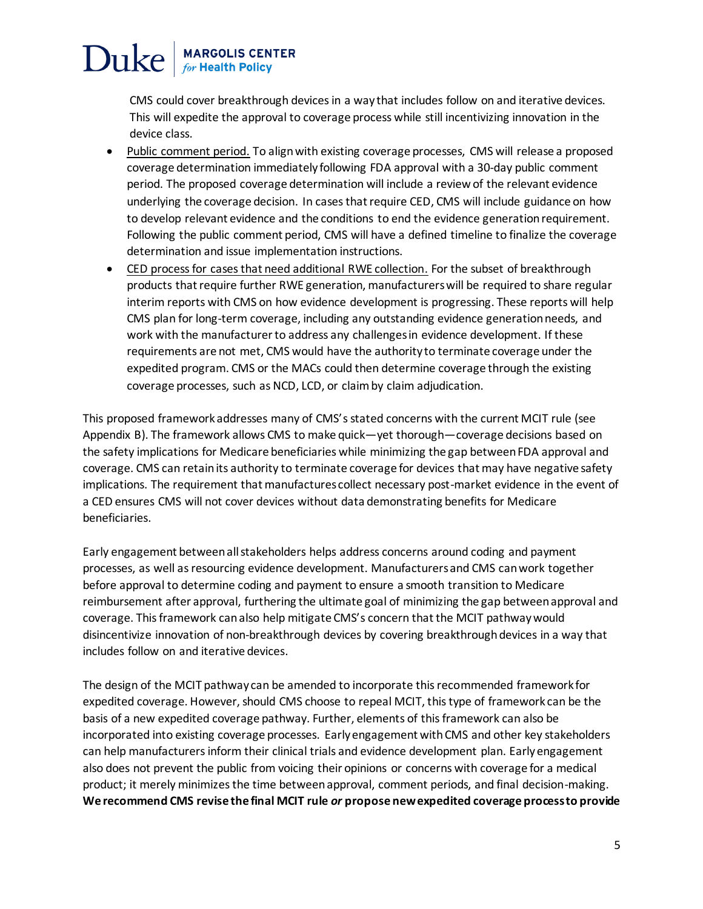CMS could cover breakthrough devices in a way that includes follow on and iterative devices. This will expedite the approval to coverage process while still incentivizing innovation in the device class.

- Public comment period. To align with existing coverage processes, CMS will release a proposed coverage determination immediately following FDA approval with a 30-day public comment period. The proposed coverage determination will include a review of the relevant evidence underlying the coverage decision. In cases that require CED, CMS will include guidance on how to develop relevant evidence and the conditions to end the evidence generation requirement. Following the public comment period, CMS will have a defined timeline to finalize the coverage determination and issue implementation instructions.
- CED process for cases that need additional RWE collection. For the subset of breakthrough products that require further RWE generation, manufacturers will be required to share regular interim reports with CMS on how evidence development is progressing. These reports will help CMS plan for long-term coverage, including any outstanding evidence generation needs, and work with the manufacturer to address any challenges in evidence development. If these requirements are not met, CMS would have the authority to terminate coverage under the expedited program. CMS or the MACs could then determine coverage through the existing coverage processes, such as NCD, LCD, or claim by claim adjudication.

This proposed framework addresses many of CMS's stated concerns with the current MCIT rule (see Appendix B). The framework allows CMS to make quick—yet thorough—coverage decisions based on the safety implications for Medicare beneficiaries while minimizing the gap between FDA approval and coverage. CMS can retain its authority to terminate coverage for devices that may have negative safety implications. The requirement that manufactures collect necessary post-market evidence in the event of a CED ensures CMS will not cover devices without data demonstrating benefits for Medicare beneficiaries.

Early engagement between all stakeholders helps address concerns around coding and payment processes, as well as resourcing evidence development. Manufacturers and CMS can work together before approval to determine coding and payment to ensure a smooth transition to Medicare reimbursement after approval, furthering the ultimate goal of minimizing the gap between approval and coverage. This framework canalso help mitigate CMS's concern that the MCIT pathway would disincentivize innovation of non-breakthrough devices by covering breakthrough devices in a way that includes follow on and iterative devices.

The design of the MCIT pathway can be amended to incorporate this recommended framework for expedited coverage. However, should CMS choose to repeal MCIT, this type of framework can be the basis of a new expedited coverage pathway. Further, elements of this framework can also be incorporated into existing coverage processes. Early engagement with CMS and other key stakeholders can help manufacturers inform their clinical trials and evidence development plan. Early engagement also does not prevent the public from voicing their opinions or concerns with coverage for a medical product; it merely minimizes the time between approval, comment periods, and final decision-making. **We recommend CMS revise the final MCIT rule** *or* **propose new expedited coverage process to provide**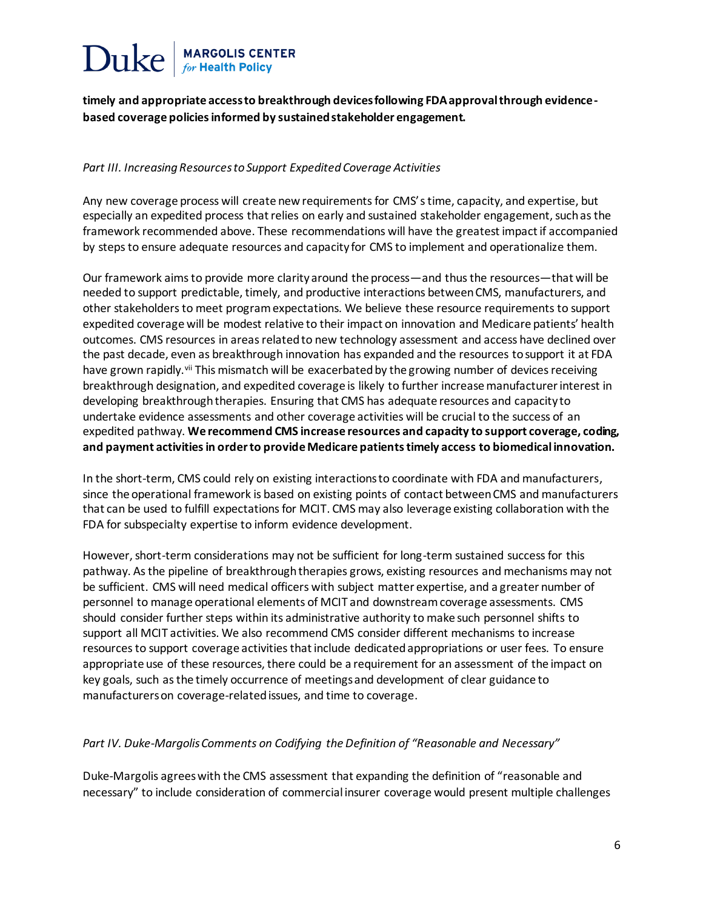**timely and appropriate access to breakthrough devices following FDA approval through evidencebased coverage policies informed by sustained stakeholder engagement.**

### *Part III. Increasing Resourcesto Support Expedited Coverage Activities*

Any new coverage process will create new requirements for CMS'stime, capacity, and expertise, but especially an expedited process that relies on early and sustained stakeholder engagement, such as the framework recommended above. These recommendations will have the greatest impact if accompanied by steps to ensure adequate resources and capacity for CMS to implement and operationalize them.

Our framework aims to provide more clarity around the process—and thus the resources—that will be needed to support predictable, timely, and productive interactions between CMS, manufacturers, and other stakeholders to meet program expectations. We believe these resource requirements to support expedited coverage will be modest relative to their impact on innovation and Medicare patients' health outcomes. CMS resources in areas related to new technology assessment and access have declined over the past decade, even as breakthrough innovation has expanded and the resources to support it at FDA have grown rapidly.<sup>vii</sup> This mismatch will be exacerbated by the growing number of devices receiving breakthrough designation, and expedited coverage is likely to further increase manufacturer interest in developing breakthrough therapies. Ensuring that CMS has adequate resources and capacity to undertake evidence assessments and other coverage activities will be crucial to the success of an expedited pathway. **We recommend CMS increase resources and capacity to support coverage, coding, and payment activities in order to provide Medicare patients timely access to biomedical innovation.**

In the short-term, CMS could rely on existing interactions to coordinate with FDA and manufacturers, since the operational framework is based on existing points of contact between CMS and manufacturers that can be used to fulfill expectations for MCIT. CMS may also leverage existing collaboration with the FDA for subspecialty expertise to inform evidence development.

However, short-term considerations may not be sufficient for long-term sustained success for this pathway. As the pipeline of breakthrough therapies grows, existing resources and mechanisms may not be sufficient. CMS will need medical officers with subject matter expertise, and a greater number of personnel to manage operational elements of MCIT and downstream coverage assessments. CMS should consider further steps within its administrative authority to make such personnel shifts to support all MCIT activities. We also recommend CMS consider different mechanisms to increase resources to support coverage activities that include dedicated appropriations or user fees. To ensure appropriate use of these resources, there could be a requirement for an assessment of the impact on key goals, such as the timely occurrence of meetings and development of clear guidance to manufacturers on coverage-related issues, and time to coverage.

### *Part IV. Duke-Margolis Comments on Codifying the Definition of "Reasonable and Necessary"*

Duke-Margolis agrees with the CMS assessment that expanding the definition of "reasonable and necessary" to include consideration of commercial insurer coverage would present multiple challenges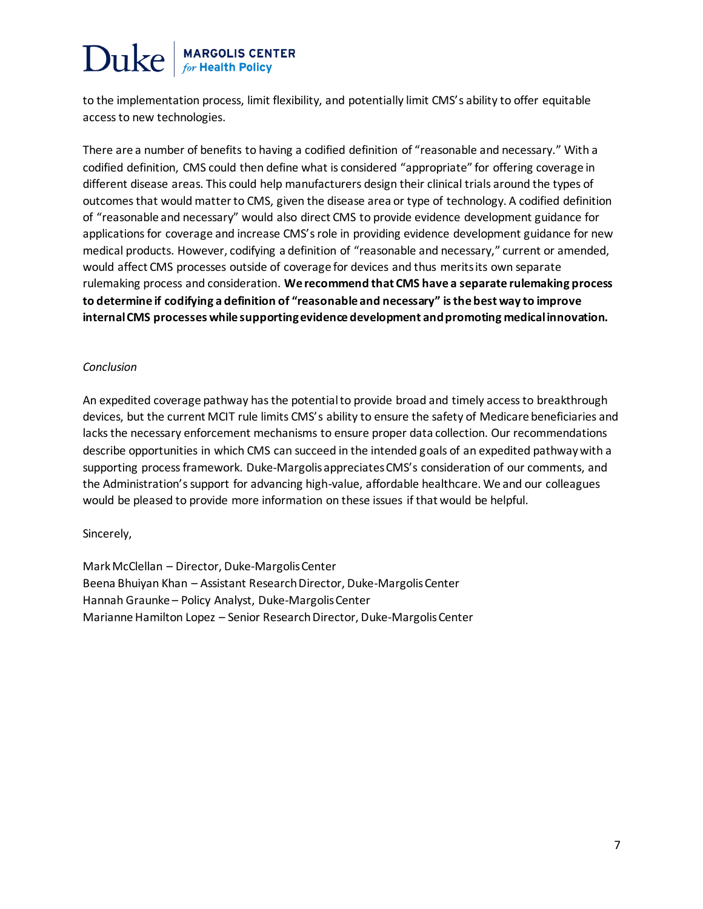to the implementation process, limit flexibility, and potentially limit CMS's ability to offer equitable access to new technologies.

There are a number of benefits to having a codified definition of "reasonable and necessary." With a codified definition, CMS could then define what is considered "appropriate" for offering coverage in different disease areas. This could help manufacturers design their clinical trials around the types of outcomes that would matter to CMS, given the disease area or type of technology. A codified definition of "reasonable and necessary" would also direct CMS to provide evidence development guidance for applications for coverage and increase CMS's role in providing evidence development guidance for new medical products. However, codifying a definition of "reasonable and necessary," current or amended, would affect CMS processes outside of coverage for devices and thus merits its own separate rulemaking process and consideration. **We recommend that CMS have a separate rulemaking process to determine if codifying a definition of "reasonable and necessary" is the best way to improve internal CMS processes while supporting evidence development and promoting medical innovation.** 

### *Conclusion*

An expedited coverage pathway has the potential to provide broad and timely access to breakthrough devices, but the current MCIT rule limits CMS's ability to ensure the safety of Medicare beneficiaries and lacks the necessary enforcement mechanisms to ensure proper data collection. Our recommendations describe opportunities in which CMS can succeed in the intended goals of an expedited pathway with a supporting process framework. Duke-Margolis appreciates CMS's consideration of our comments, and the Administration's support for advancing high-value, affordable healthcare. We and our colleagues would be pleased to provide more information on these issues if that would be helpful.

### Sincerely,

Mark McClellan – Director, Duke-Margolis Center Beena Bhuiyan Khan – Assistant Research Director, Duke-Margolis Center Hannah Graunke – Policy Analyst, Duke-Margolis Center Marianne Hamilton Lopez – Senior Research Director, Duke-Margolis Center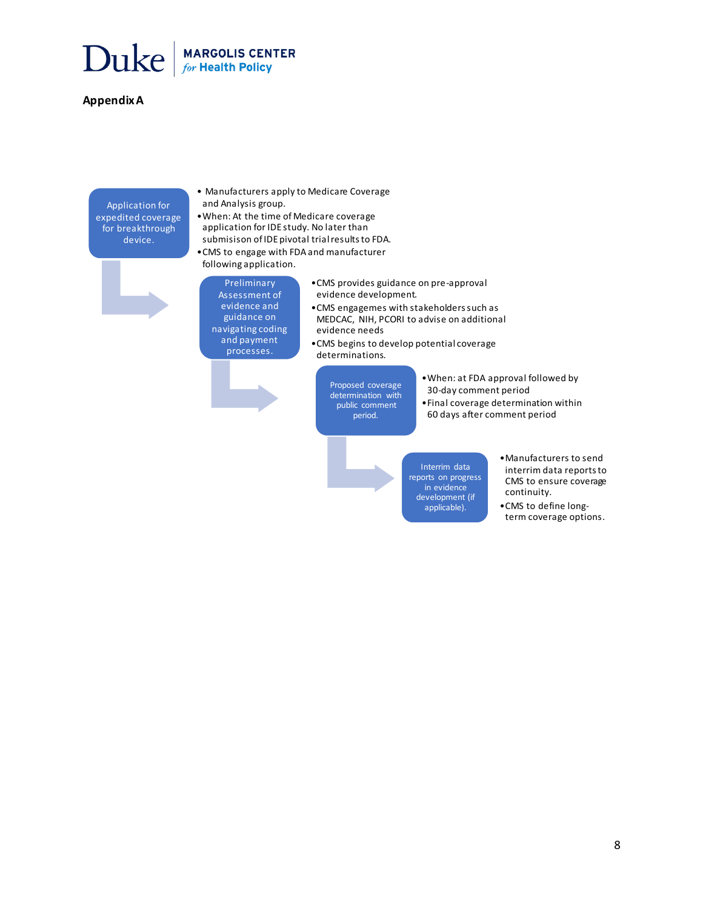

#### **Appendix A**

Application for expedited coverage for breakthrough device.

- Manufacturers apply to Medicare Coverage and Analysis group.
- •When: At the time of Medicare coverage application for IDE study. No later than submisison of IDE pivotal trial results to FDA.
- •CMS to engage with FDA and manufacturer
- following application.
- Preliminary Assessment of evidence and guidance on navigating coding and payment processes.
- •CMS provides guidance on pre-approval evidence development.
- •CMS engagemes with stakeholders such as MEDCAC, NIH, PCORI to advise on additional evidence needs
- •CMS begins to develop potential coverage determinations.

Proposed coverage determination with public comment period.

•When: at FDA approval followed by 30-day comment period

•Final coverage determination within 60 days after comment period

Interrim data reports on progress in evidence development (if applicable).

•Manufacturers to send interrim data reports to CMS to ensure coverage continuity.

•CMS to define longterm coverage options.

8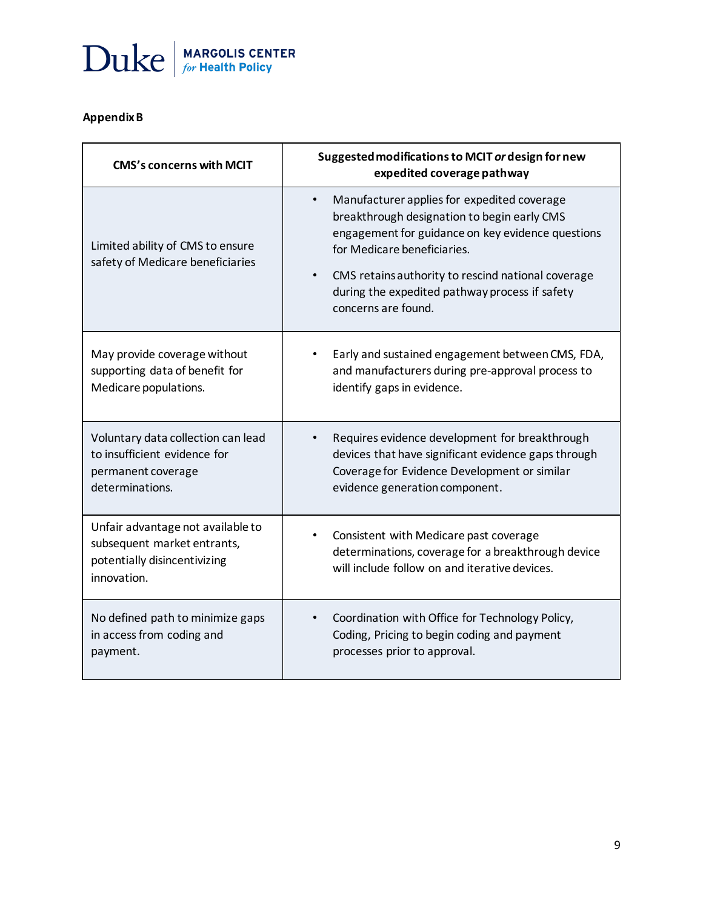

## **Appendix B**

| <b>CMS's concerns with MCIT</b>                                      | Suggested modifications to MCIT or design for new<br>expedited coverage pathway                                                                                                                                                                                                                                                         |
|----------------------------------------------------------------------|-----------------------------------------------------------------------------------------------------------------------------------------------------------------------------------------------------------------------------------------------------------------------------------------------------------------------------------------|
| Limited ability of CMS to ensure<br>safety of Medicare beneficiaries | Manufacturer applies for expedited coverage<br>$\bullet$<br>breakthrough designation to begin early CMS<br>engagement for guidance on key evidence questions<br>for Medicare beneficiaries.<br>CMS retains authority to rescind national coverage<br>$\bullet$<br>during the expedited pathway process if safety<br>concerns are found. |
| May provide coverage without                                         | Early and sustained engagement between CMS, FDA,                                                                                                                                                                                                                                                                                        |
| supporting data of benefit for                                       | and manufacturers during pre-approval process to                                                                                                                                                                                                                                                                                        |
| Medicare populations.                                                | identify gaps in evidence.                                                                                                                                                                                                                                                                                                              |
| Voluntary data collection can lead                                   | Requires evidence development for breakthrough                                                                                                                                                                                                                                                                                          |
| to insufficient evidence for                                         | devices that have significant evidence gaps through                                                                                                                                                                                                                                                                                     |
| permanent coverage                                                   | Coverage for Evidence Development or similar                                                                                                                                                                                                                                                                                            |
| determinations.                                                      | evidence generation component.                                                                                                                                                                                                                                                                                                          |
| Unfair advantage not available to                                    | Consistent with Medicare past coverage                                                                                                                                                                                                                                                                                                  |
| subsequent market entrants,                                          | ٠                                                                                                                                                                                                                                                                                                                                       |
| potentially disincentivizing                                         | determinations, coverage for a breakthrough device                                                                                                                                                                                                                                                                                      |
| innovation.                                                          | will include follow on and iterative devices.                                                                                                                                                                                                                                                                                           |
| No defined path to minimize gaps                                     | Coordination with Office for Technology Policy,                                                                                                                                                                                                                                                                                         |
| in access from coding and                                            | Coding, Pricing to begin coding and payment                                                                                                                                                                                                                                                                                             |
| payment.                                                             | processes prior to approval.                                                                                                                                                                                                                                                                                                            |